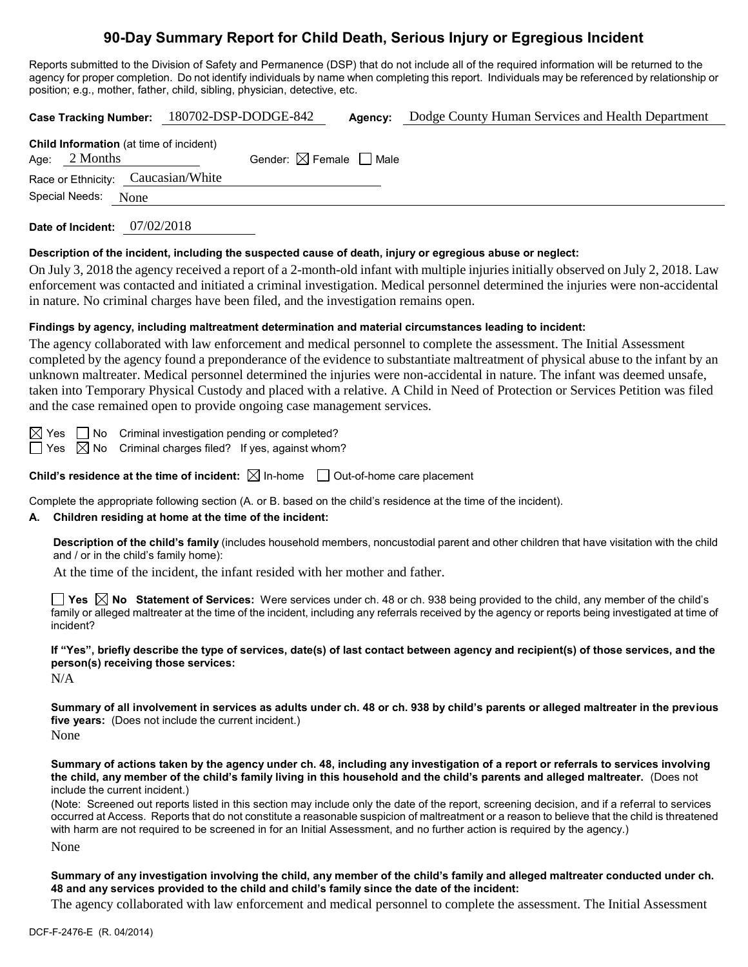# **90-Day Summary Report for Child Death, Serious Injury or Egregious Incident**

Reports submitted to the Division of Safety and Permanence (DSP) that do not include all of the required information will be returned to the agency for proper completion. Do not identify individuals by name when completing this report. Individuals may be referenced by relationship or position; e.g., mother, father, child, sibling, physician, detective, etc.

|                        |                                                                   | Case Tracking Number: 180702-DSP-DODGE-842 |                                        | Agency: | Dodge County Human Services and Health Department |  |  |  |
|------------------------|-------------------------------------------------------------------|--------------------------------------------|----------------------------------------|---------|---------------------------------------------------|--|--|--|
|                        | <b>Child Information</b> (at time of incident)<br>Age: $2$ Months |                                            | Gender: $\boxtimes$ Female $\Box$ Male |         |                                                   |  |  |  |
|                        | Race or Ethnicity: Caucasian/White                                |                                            |                                        |         |                                                   |  |  |  |
| Special Needs:<br>None |                                                                   |                                            |                                        |         |                                                   |  |  |  |
|                        |                                                                   |                                            |                                        |         |                                                   |  |  |  |

**Date of Incident:** 07/02/2018

#### **Description of the incident, including the suspected cause of death, injury or egregious abuse or neglect:**

On July 3, 2018 the agency received a report of a 2-month-old infant with multiple injuries initially observed on July 2, 2018. Law enforcement was contacted and initiated a criminal investigation. Medical personnel determined the injuries were non-accidental in nature. No criminal charges have been filed, and the investigation remains open.

#### **Findings by agency, including maltreatment determination and material circumstances leading to incident:**

The agency collaborated with law enforcement and medical personnel to complete the assessment. The Initial Assessment completed by the agency found a preponderance of the evidence to substantiate maltreatment of physical abuse to the infant by an unknown maltreater. Medical personnel determined the injuries were non-accidental in nature. The infant was deemed unsafe, taken into Temporary Physical Custody and placed with a relative. A Child in Need of Protection or Services Petition was filed and the case remained open to provide ongoing case management services.

 $\boxtimes$  Yes  $\Box$  No Criminal investigation pending or completed?  $\Box$  Yes  $\boxtimes$  No Criminal charges filed? If yes, against whom?

**Child's residence at the time of incident:**  $\boxtimes$  In-home  $\Box$  Out-of-home care placement

Complete the appropriate following section (A. or B. based on the child's residence at the time of the incident).

### **A. Children residing at home at the time of the incident:**

**Description of the child's family** (includes household members, noncustodial parent and other children that have visitation with the child and / or in the child's family home):

At the time of the incident, the infant resided with her mother and father.

**Yes No Statement of Services:** Were services under ch. 48 or ch. 938 being provided to the child, any member of the child's family or alleged maltreater at the time of the incident, including any referrals received by the agency or reports being investigated at time of incident?

**If "Yes", briefly describe the type of services, date(s) of last contact between agency and recipient(s) of those services, and the person(s) receiving those services:**

N/A

**Summary of all involvement in services as adults under ch. 48 or ch. 938 by child's parents or alleged maltreater in the previous five years:** (Does not include the current incident.)

None

**Summary of actions taken by the agency under ch. 48, including any investigation of a report or referrals to services involving the child, any member of the child's family living in this household and the child's parents and alleged maltreater.** (Does not include the current incident.)

(Note: Screened out reports listed in this section may include only the date of the report, screening decision, and if a referral to services occurred at Access. Reports that do not constitute a reasonable suspicion of maltreatment or a reason to believe that the child is threatened with harm are not required to be screened in for an Initial Assessment, and no further action is required by the agency.)

None

**Summary of any investigation involving the child, any member of the child's family and alleged maltreater conducted under ch. 48 and any services provided to the child and child's family since the date of the incident:**

The agency collaborated with law enforcement and medical personnel to complete the assessment. The Initial Assessment